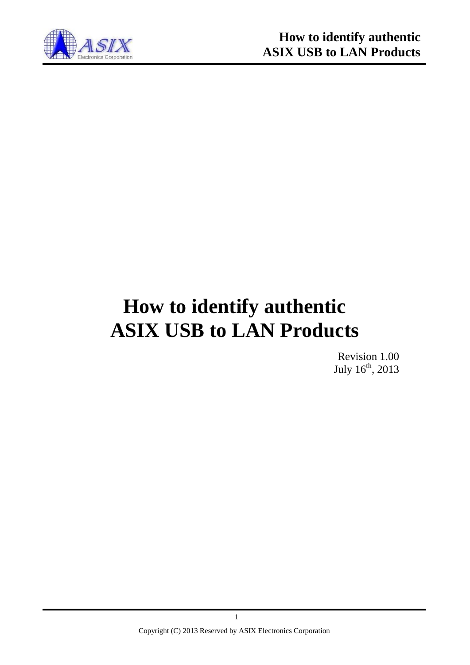

# **How to identify authentic ASIX USB to LAN Products**

Revision 1.00 July 16<sup>th</sup>, 2013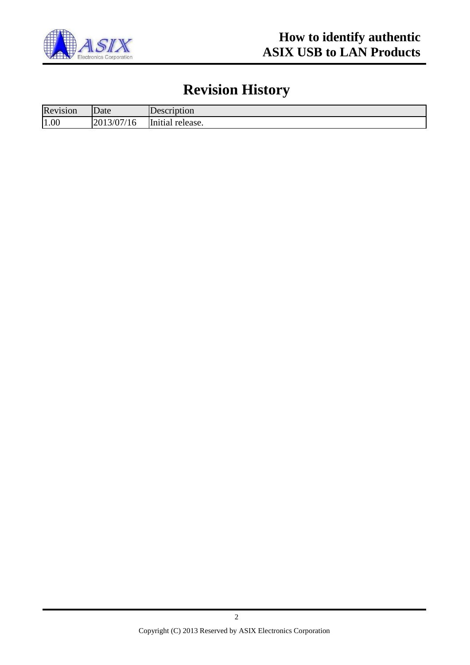

# **Revision History**

| Revision | Date                             | Description                     |
|----------|----------------------------------|---------------------------------|
| 1.00     | 2013/07<br>11 <sup>2</sup><br>16 | $\mathbf r$<br>Initial release. |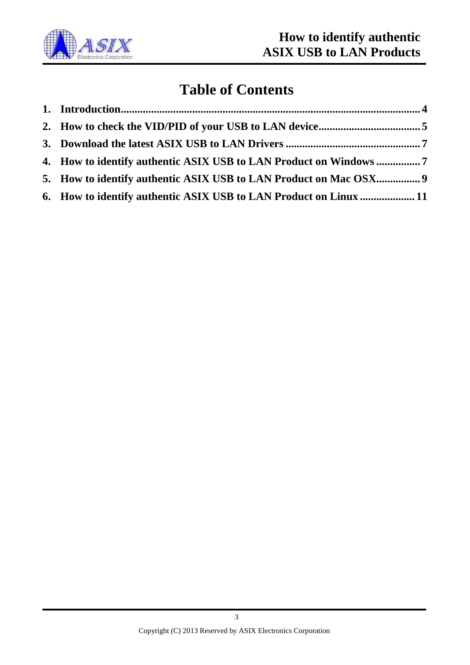

## **Table of Contents**

| 4. How to identify authentic ASIX USB to LAN Product on Windows 7 |  |
|-------------------------------------------------------------------|--|
| 5. How to identify authentic ASIX USB to LAN Product on Mac OSX 9 |  |
| 6. How to identify authentic ASIX USB to LAN Product on Linux  11 |  |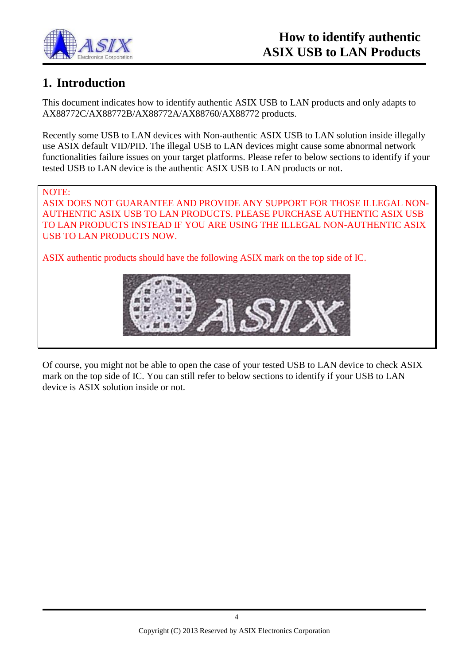

### <span id="page-3-0"></span>**1. Introduction**

This document indicates how to identify authentic ASIX USB to LAN products and only adapts to AX88772C/AX88772B/AX88772A/AX88760/AX88772 products.

Recently some USB to LAN devices with Non-authentic ASIX USB to LAN solution inside illegally use ASIX default VID/PID. The illegal USB to LAN devices might cause some abnormal network functionalities failure issues on your target platforms. Please refer to below sections to identify if your tested USB to LAN device is the authentic ASIX USB to LAN products or not.

NOTE: ASIX DOES NOT GUARANTEE AND PROVIDE ANY SUPPORT FOR THOSE ILLEGAL NON-AUTHENTIC ASIX USB TO LAN PRODUCTS. PLEASE PURCHASE AUTHENTIC ASIX USB TO LAN PRODUCTS INSTEAD IF YOU ARE USING THE ILLEGAL NON-AUTHENTIC ASIX USB TO LAN PRODUCTS NOW.

ASIX authentic products should have the following ASIX mark on the top side of IC.



Of course, you might not be able to open the case of your tested USB to LAN device to check ASIX mark on the top side of IC. You can still refer to below sections to identify if your USB to LAN device is ASIX solution inside or not.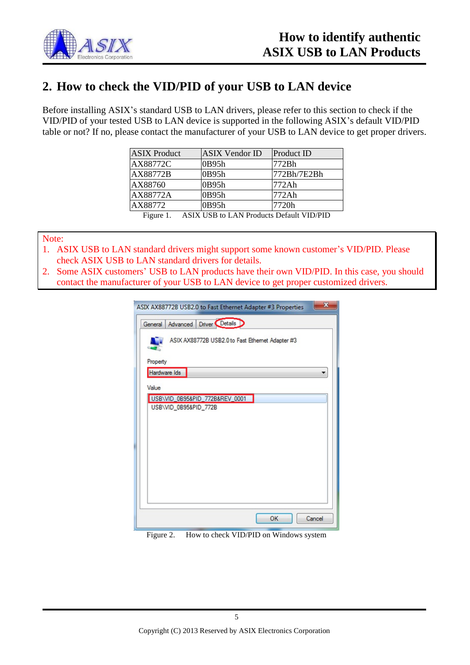

#### <span id="page-4-0"></span>**2. How to check the VID/PID of your USB to LAN device**

Before installing ASIX's standard USB to LAN drivers, please refer to this section to check if the VID/PID of your tested USB to LAN device is supported in the following ASIX's default VID/PID table or not? If no, please contact the manufacturer of your USB to LAN device to get proper drivers.

| <b>ASIX</b> Product | <b>ASIX Vendor ID</b>                      | Product ID  |
|---------------------|--------------------------------------------|-------------|
| AX88772C            | 0B95h                                      | 772Bh       |
| AX88772B            | 0B95h                                      | 772Bh/7E2Bh |
| AX88760             | 0B95h                                      | 772Ah       |
| AX88772A            | 0B95h                                      | 772Ah       |
| AX88772             | 0B95h                                      | 7720h       |
| Figure 1            | A SIV LISR to LAN Products Default VID/PID |             |

Figure 1. ASIX USB to LAN Products Default VID/PID

<span id="page-4-1"></span>Note:

- 1. ASIX USB to LAN standard drivers might support some known customer's VID/PID. Please check ASIX USB to LAN standard drivers for details.
- 2. Some ASIX customers' USB to LAN products have their own VID/PID. In this case, you should contact the manufacturer of your USB to LAN device to get proper customized drivers.

| ASIX AX88772B USB2.0 to Fast Ethernet Adapter #3 Properties |  |  |  |  |  |
|-------------------------------------------------------------|--|--|--|--|--|
| Advanced Driver Details<br>General                          |  |  |  |  |  |
| ASIX AX88772B USB2.0 to Fast Ethernet Adapter #3            |  |  |  |  |  |
| Property                                                    |  |  |  |  |  |
| Hardware Ids                                                |  |  |  |  |  |
| Value                                                       |  |  |  |  |  |
| USB\VID_0B95&PID_772B&REV_0001                              |  |  |  |  |  |
| USB\VID_0B95&PID_772B                                       |  |  |  |  |  |
|                                                             |  |  |  |  |  |
|                                                             |  |  |  |  |  |
|                                                             |  |  |  |  |  |
|                                                             |  |  |  |  |  |
|                                                             |  |  |  |  |  |
|                                                             |  |  |  |  |  |
|                                                             |  |  |  |  |  |
|                                                             |  |  |  |  |  |
| OK<br>Cancel                                                |  |  |  |  |  |

Figure 2. How to check VID/PID on Windows system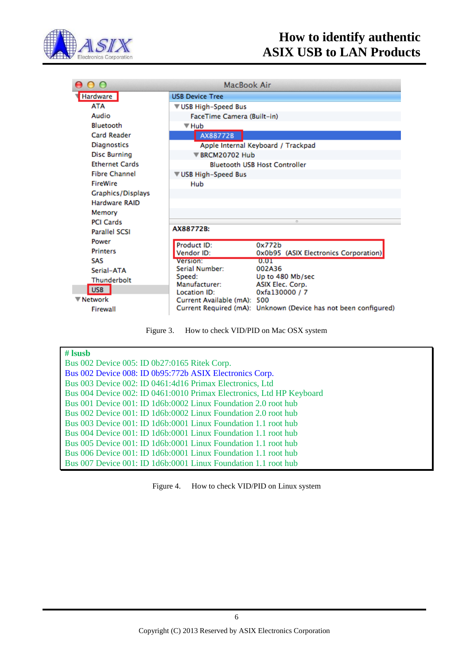

| റ റ                   | MacBook Air                        |                                                                 |  |  |  |
|-----------------------|------------------------------------|-----------------------------------------------------------------|--|--|--|
| Hardware              | <b>USB Device Tree</b>             |                                                                 |  |  |  |
| ATA                   | <b>▼USB High-Speed Bus</b>         |                                                                 |  |  |  |
| Audio                 | FaceTime Camera (Built-in)         |                                                                 |  |  |  |
| <b>Bluetooth</b>      | <b>▼ Hub</b>                       |                                                                 |  |  |  |
| <b>Card Reader</b>    | AX88772B                           |                                                                 |  |  |  |
| Diagnostics           | Apple Internal Keyboard / Trackpad |                                                                 |  |  |  |
| <b>Disc Burning</b>   | <b>▼ BRCM20702 Hub</b>             |                                                                 |  |  |  |
| <b>Ethernet Cards</b> |                                    | <b>Bluetooth USB Host Controller</b>                            |  |  |  |
| <b>Fibre Channel</b>  | <b>▼USB High-Speed Bus</b>         |                                                                 |  |  |  |
| <b>FireWire</b>       | Hub                                |                                                                 |  |  |  |
| Graphics/Displays     |                                    |                                                                 |  |  |  |
| Hardware RAID         |                                    |                                                                 |  |  |  |
| Memory                |                                    |                                                                 |  |  |  |
| <b>PCI Cards</b>      | O.                                 |                                                                 |  |  |  |
| <b>Parallel SCSI</b>  | AX88772B:                          |                                                                 |  |  |  |
| Power                 | Product ID:                        | 0x772b                                                          |  |  |  |
| <b>Printers</b>       | Vendor ID:                         | 0x0b95 (ASIX Electronics Corporation)                           |  |  |  |
| SAS                   | Version:                           | 0.01                                                            |  |  |  |
| Serial-ATA            | Serial Number:<br>Speed:           | 002A36<br>Up to 480 Mb/sec                                      |  |  |  |
| Thunderbolt           | Manufacturer:                      | ASIX Elec. Corp.                                                |  |  |  |
| USB                   | Location ID:                       | 0xfa130000 / 7                                                  |  |  |  |
| <b>▼ Network</b>      | Current Available (mA): 500        |                                                                 |  |  |  |
| Firewall              |                                    | Current Required (mA): Unknown (Device has not been configured) |  |  |  |

Figure 3. How to check VID/PID on Mac OSX system

| $#$ Isusb                                                            |
|----------------------------------------------------------------------|
| Bus 002 Device 005: ID 0b27:0165 Ritek Corp.                         |
| Bus 002 Device 008: ID 0b95:772b ASIX Electronics Corp.              |
| Bus 003 Device 002: ID 0461:4d16 Primax Electronics, Ltd             |
| Bus 004 Device 002: ID 0461:0010 Primax Electronics, Ltd HP Keyboard |
| Bus 001 Device 001: ID 1d6b:0002 Linux Foundation 2.0 root hub       |
| Bus 002 Device 001: ID 1d6b:0002 Linux Foundation 2.0 root hub       |
| Bus 003 Device 001: ID 1d6b:0001 Linux Foundation 1.1 root hub       |
| Bus 004 Device 001: ID 1d6b:0001 Linux Foundation 1.1 root hub       |
| Bus 005 Device 001: ID 1d6b:0001 Linux Foundation 1.1 root hub       |
| Bus 006 Device 001: ID 1d6b:0001 Linux Foundation 1.1 root hub       |
| Bus 007 Device 001: ID 1d6b:0001 Linux Foundation 1.1 root hub       |

Figure 4. How to check VID/PID on Linux system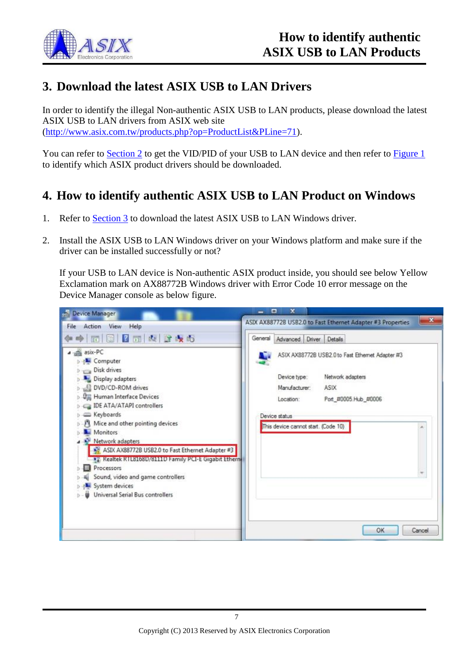

#### <span id="page-6-0"></span>**3. Download the latest ASIX USB to LAN Drivers**

In order to identify the illegal Non-authentic ASIX USB to LAN products, please download the latest ASIX USB to LAN drivers from ASIX web site [\(http://www.asix.com.tw/products.php?op=ProductList&PLine=71\)](http://www.asix.com.tw/products.php?op=ProductList&PLine=71).

You can refer to [Section 2](#page-4-0) to get the VID/PID of your USB to LAN device and then refer to [Figure 1](#page-4-1) to identify which ASIX product drivers should be downloaded.

#### <span id="page-6-1"></span>**4. How to identify authentic ASIX USB to LAN Product on Windows**

- 1. Refer to [Section 3](#page-6-0) to download the latest ASIX USB to LAN Windows driver.
- 2. Install the ASIX USB to LAN Windows driver on your Windows platform and make sure if the driver can be installed successfully or not?

If your USB to LAN device is Non-authentic ASIX product inside, you should see below Yellow Exclamation mark on AX88772B Windows driver with Error Code 10 error message on the Device Manager console as below figure.

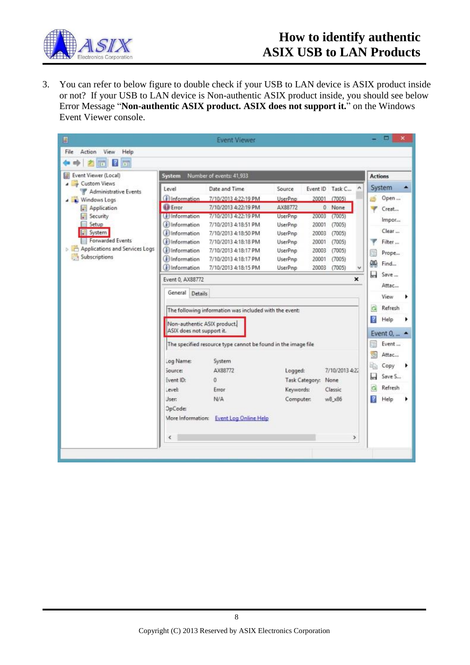

## **How to identify authentic ASIX USB to LAN Products**

3. You can refer to below figure to double check if your USB to LAN device is ASIX product inside or not? If your USB to LAN device is Non-authentic ASIX product inside, you should see below Error Message "**Non-authentic ASIX product. ASIX does not support it.**" on the Windows Event Viewer console.

| B                                                                 |                                                          | <b>Event Viewer</b>                                           |                |       |                 |                |     | ▭                       | × |
|-------------------------------------------------------------------|----------------------------------------------------------|---------------------------------------------------------------|----------------|-------|-----------------|----------------|-----|-------------------------|---|
| File<br>View<br>Action<br>Help                                    |                                                          |                                                               |                |       |                 |                |     |                         |   |
| <b>FEE</b><br>ire.                                                |                                                          |                                                               |                |       |                 |                |     |                         |   |
| Event Viewer (Local)<br>ы                                         | Number of events: 41,933<br>System                       |                                                               |                |       |                 | <b>Actions</b> |     |                         |   |
| Custom Views<br>$\overline{\phantom{a}}$<br>Administrative Events | Level                                                    | Date and Time                                                 | Source         |       | Event ID Task C |                |     | System                  | ÷ |
| <b>Nindows Logs</b>                                               | <b>D</b> Information                                     | 7/10/2013 4:22:19 PM                                          | UserPno        |       | 20001 (7005)    |                |     | Open                    |   |
| Application<br>a l                                                | <b>Ell</b> Error                                         | 7/10/2013 4:22:19 PM                                          | AX88772        |       | 0 None          |                |     | Creat                   |   |
| Security                                                          | (ill Information                                         | 7/10/2013 4:22:19 PM                                          | UserPnp        | 20003 | (7005)          |                |     | Impor                   |   |
| Setup                                                             | (i) Information                                          | 7/10/2013 4:18:51 PM                                          | UserPnp        | 20001 | (7005)          |                |     |                         |   |
| System                                                            | (i) Information                                          | 7/10/2013 4:18:50 PM                                          | UserPnp        | 20003 | (7005)          |                |     | Clear                   |   |
| Forwarded Events                                                  | <b>i</b> lnformation                                     | 7/10/2013 4:18:18 PM                                          | UserPnp        | 20001 | (7005)          |                |     | Filter                  |   |
| <b>D C</b> Applications and Services Logs                         | (i) Information                                          | 7/10/2013 4:18:17 PM                                          | UserPnp        | 20003 | (7005)          |                |     | Prope                   |   |
| Subscriptions                                                     | (i) Information                                          | 7/10/2013 4:18:17 PM                                          | UserPnp        | 20001 | (7005)          |                | ρφ  | Find                    |   |
|                                                                   | (i) Information                                          | 7/10/2013 4:18:15 PM                                          | <b>UserPnp</b> | 20003 | (7005)          |                |     |                         |   |
|                                                                   | Event 0, AX88772                                         |                                                               |                |       |                 | $\mathbf{x}$   | Ы   | Save                    |   |
|                                                                   | General Details                                          |                                                               |                |       |                 |                |     | Attac                   |   |
|                                                                   |                                                          |                                                               |                |       |                 |                |     | View                    |   |
|                                                                   |                                                          | The following information was included with the event:        |                |       |                 |                |     | Refresh                 |   |
|                                                                   |                                                          |                                                               |                |       |                 |                | R   | Help                    |   |
|                                                                   | Non-authentic ASIX product.<br>ASIX does not support it. |                                                               |                |       |                 |                |     |                         |   |
|                                                                   |                                                          |                                                               |                |       |                 |                |     | Event $0, $ $\triangle$ |   |
|                                                                   |                                                          | The specified resource type cannot be found in the image file |                |       |                 |                |     | Event                   |   |
|                                                                   | Log Name:                                                | System                                                        |                |       |                 |                | (B) | Attac                   |   |
|                                                                   |                                                          |                                                               |                |       |                 |                | b   | Copy                    |   |
|                                                                   | source:                                                  | AX88772                                                       | Logged:        |       | 7/10/2013 4:22  |                | ы   | Save S                  |   |
|                                                                   | Event ID:                                                | 0                                                             | Task Category: |       | None            |                |     |                         |   |
|                                                                   | Level:                                                   | Error                                                         | Keywords:      |       | Classic         |                | a   | Refresh                 |   |
|                                                                   | Jser:                                                    | N/A                                                           | Computer:      |       | w8 x86          |                | R   | Help                    |   |
|                                                                   | OpCode:                                                  |                                                               |                |       |                 |                |     |                         |   |
|                                                                   | More Information:                                        | <b>Event Log Online Help</b>                                  |                |       |                 |                |     |                         |   |
|                                                                   |                                                          |                                                               |                |       |                 |                |     |                         |   |
|                                                                   | €                                                        |                                                               |                |       |                 | >              |     |                         |   |
|                                                                   |                                                          |                                                               |                |       |                 |                |     |                         |   |
|                                                                   |                                                          |                                                               |                |       |                 |                |     |                         |   |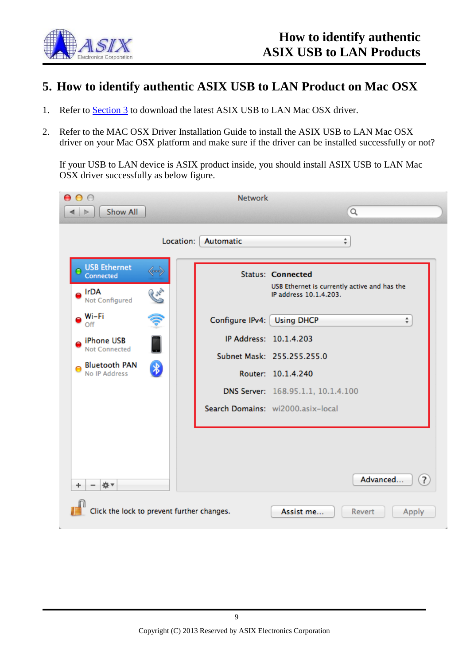

#### <span id="page-8-0"></span>**5. How to identify authentic ASIX USB to LAN Product on Mac OSX**

- 1. Refer to **Section 3** to download the latest ASIX USB to LAN Mac OSX driver.
- 2. Refer to the MAC OSX Driver Installation Guide to install the ASIX USB to LAN Mac OSX driver on your Mac OSX platform and make sure if the driver can be installed successfully or not?

If your USB to LAN device is ASIX product inside, you should install ASIX USB to LAN Mac OSX driver successfully as below figure.

| <b>Network</b><br>000<br>Q<br><b>Show All</b><br>Þ                                          |                                            |                                                                                                    |  |  |  |
|---------------------------------------------------------------------------------------------|--------------------------------------------|----------------------------------------------------------------------------------------------------|--|--|--|
|                                                                                             | Automatic<br>Location:                     | ÷                                                                                                  |  |  |  |
| <b>USB Ethernet</b><br>≪…⇒<br>Connected<br><b>Cross</b><br>$\bullet$ IrDA<br>Not Configured |                                            | <b>Status: Connected</b><br>USB Ethernet is currently active and has the<br>IP address 10.1.4.203. |  |  |  |
| Wi-Fi<br>Ş<br>Off                                                                           |                                            | Configure IPv4:   Using DHCP<br>÷                                                                  |  |  |  |
| iPhone USB<br>Not Connected                                                                 |                                            | IP Address: 10.1.4.203                                                                             |  |  |  |
| <b>Bluetooth PAN</b><br>$\ast$                                                              |                                            | Subnet Mask: 255.255.255.0                                                                         |  |  |  |
| No IP Address                                                                               |                                            | Router: 10.1.4.240                                                                                 |  |  |  |
|                                                                                             |                                            | DNS Server: 168.95.1.1, 10.1.4.100                                                                 |  |  |  |
|                                                                                             |                                            | Search Domains: wi2000.asix-local                                                                  |  |  |  |
| ☆▼<br>٠                                                                                     |                                            | Advanced<br>$\overline{?}$                                                                         |  |  |  |
|                                                                                             | Click the lock to prevent further changes. | Assist me<br>Revert<br>Apply                                                                       |  |  |  |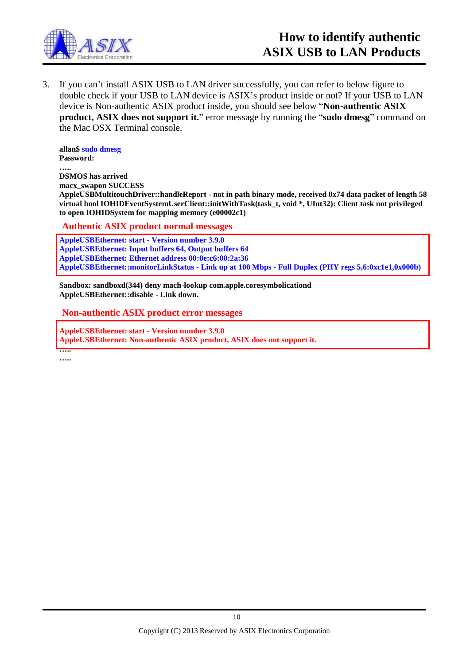

3. If you can't install ASIX USB to LAN driver successfully, you can refer to below figure to double check if your USB to LAN device is ASIX's product inside or not? If your USB to LAN device is Non-authentic ASIX product inside, you should see below "**Non-authentic ASIX product, ASIX does not support it.**" error message by running the "**sudo dmesg**" command on the Mac OSX Terminal console.

**allan\$ sudo dmesg Password:**

**….. DSMOS has arrived macx\_swapon SUCCESS AppleUSBMultitouchDriver::handleReport - not in path binary mode, received 0x74 data packet of length 58 virtual bool IOHIDEventSystemUserClient::initWithTask(task\_t, void \*, UInt32): Client task not privileged to open IOHIDSystem for mapping memory (e00002c1)**

**Authentic ASIX product normal messages**

**AppleUSBEthernet: start - Version number 3.9.0 AppleUSBEthernet: Input buffers 64, Output buffers 64 AppleUSBEthernet: Ethernet address 00:0e:c6:00:2a:36 AppleUSBEthernet::monitorLinkStatus - Link up at 100 Mbps - Full Duplex (PHY regs 5,6:0xc1e1,0x000b)**

**Sandbox: sandboxd(344) deny mach-lookup com.apple.coresymbolicationd AppleUSBEthernet::disable - Link down.**

**Non-authentic ASIX product error messages**

**AppleUSBEthernet: start - Version number 3.9.0 AppleUSBEthernet: Non-authentic ASIX product, ASIX does not support it.**

**….. …..**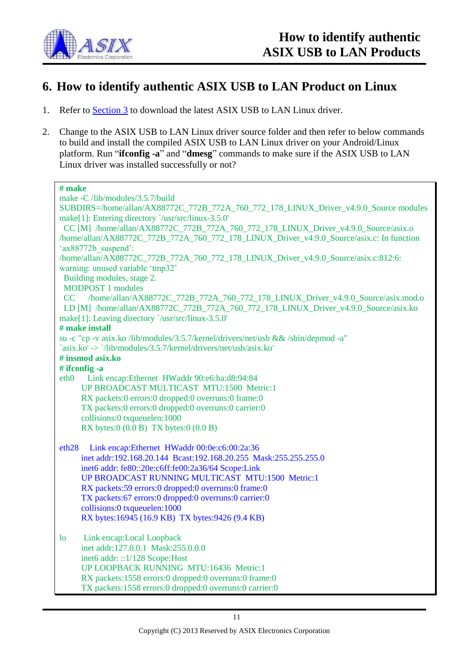

#### <span id="page-10-0"></span>**6. How to identify authentic ASIX USB to LAN Product on Linux**

- 1. Refer to **Section 3** to download the latest ASIX USB to LAN Linux driver.
- 2. Change to the ASIX USB to LAN Linux driver source folder and then refer to below commands to build and install the compiled ASIX USB to LAN Linux driver on your Android/Linux platform. Run "**ifconfig -a**" and "**dmesg**" commands to make sure if the ASIX USB to LAN Linux driver was installed successfully or not?

| # make                                                                                    |
|-------------------------------------------------------------------------------------------|
| make -C /lib/modules/3.5.7/build                                                          |
| SUBDIRS=/home/allan/AX88772C_772B_772A_760_772_178_LINUX_Driver_v4.9.0_Source modules     |
| make[1]: Entering directory '/usr/src/linux-3.5.0'                                        |
| CC [M] /home/allan/AX88772C_772B_772A_760_772_178_LINUX_Driver_v4.9.0_Source/asix.o       |
| /home/allan/AX88772C_772B_772A_760_772_178_LINUX_Driver_v4.9.0_Source/asix.c: In function |
| 'ax88772b suspend':                                                                       |
| /home/allan/AX88772C_772B_772A_760_772_178_LINUX_Driver_v4.9.0_Source/asix.c:812:6:       |
| warning: unused variable 'tmp32'                                                          |
| Building modules, stage 2.                                                                |
| <b>MODPOST 1</b> modules                                                                  |
| CC /home/allan/AX88772C_772B_772A_760_772_178_LINUX_Driver_v4.9.0_Source/asix.mod.o       |
| LD [M] /home/allan/AX88772C_772B_772A_760_772_178_LINUX_Driver_v4.9.0_Source/asix.ko      |
| make[1]: Leaving directory '/usr/src/linux-3.5.0'                                         |
| # make install                                                                            |
| su -c "cp -v asix.ko /lib/modules/3.5.7/kernel/drivers/net/usb && /sbin/depmod -a"        |
| `asix.ko' -> `/lib/modules/3.5.7/kernel/drivers/net/usb/asix.ko'                          |
| # insmod asix.ko                                                                          |
| # ifconfig -a                                                                             |
| Link encap: Ethernet HWaddr 90:e6:ba:d8:94:84<br>eth <sub>0</sub>                         |
| UP BROADCAST MULTICAST MTU:1500 Metric:1                                                  |
| RX packets:0 errors:0 dropped:0 overruns:0 frame:0                                        |
| TX packets:0 errors:0 dropped:0 overruns:0 carrier:0                                      |
| collisions:0 txqueuelen:1000                                                              |
| RX bytes: $0(0.0 B)$ TX bytes: $0(0.0 B)$                                                 |
|                                                                                           |
| eth28<br>Link encap:Ethernet HWaddr 00:0e:c6:00:2a:36                                     |
| inet addr:192.168.20.144 Bcast:192.168.20.255 Mask:255.255.255.0                          |
| inet6 addr: fe80::20e:c6ff:fe00:2a36/64 Scope:Link                                        |
| UP BROADCAST RUNNING MULTICAST MTU:1500 Metric:1                                          |
| RX packets:59 errors:0 dropped:0 overruns:0 frame:0                                       |
| TX packets:67 errors:0 dropped:0 overruns:0 carrier:0                                     |
| collisions:0 txqueuelen:1000                                                              |
| RX bytes:16945 (16.9 KB) TX bytes:9426 (9.4 KB)                                           |
|                                                                                           |
| Link encap:Local Loopback<br>1 <sub>o</sub>                                               |
| inet addr:127.0.0.1 Mask:255.0.0.0                                                        |
| inet6 addr: ::1/128 Scope:Host                                                            |
| UP LOOPBACK RUNNING MTU:16436 Metric:1                                                    |
| RX packets:1558 errors:0 dropped:0 overruns:0 frame:0                                     |
| TX packets:1558 errors:0 dropped:0 overruns:0 carrier:0                                   |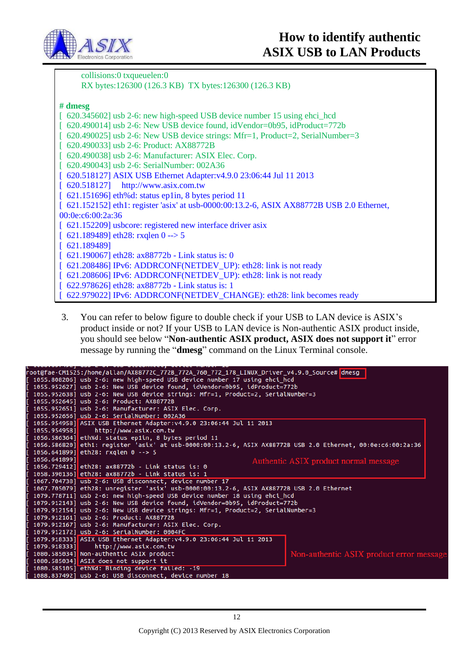

 collisions:0 txqueuelen:0 RX bytes:126300 (126.3 KB) TX bytes:126300 (126.3 KB) **# dmesg** [  $620.345602$ ] usb 2-6: new high-speed USB device number 15 using ehci\_hcd [ 620.490014] usb 2-6: New USB device found, idVendor=0b95, idProduct=772b  $\lceil 620.490025 \rceil$  usb 2-6: New USB device strings: Mfr=1, Product=2, SerialNumber=3 [ 620.490033] usb 2-6: Product: AX88772B [ 620.490038] usb 2-6: Manufacturer: ASIX Elec. Corp. [ 620.490043] usb 2-6: SerialNumber: 002A36 [ 620.518127] ASIX USB Ethernet Adapter:v4.9.0 23:06:44 Jul 11 2013 [ 620.518127] http://www.asix.com.tw [ 621.151696] eth%d: status ep1in, 8 bytes period 11 [ 621.152152] eth1: register 'asix' at usb-0000:00:13.2-6, ASIX AX88772B USB 2.0 Ethernet, 00:0e:c6:00:2a:36 [ 621.152209] usbcore: registered new interface driver asix  $[621.189489]$  eth28: rxqlen 0 --> 5 [ 621.189489] [ 621.190067] eth28: ax88772b - Link status is: 0 [ 621.208486] IPv6: ADDRCONF(NETDEV\_UP): eth28: link is not ready [ 621.208606] IPv6: ADDRCONF(NETDEV\_UP): eth28: link is not ready [ 622.978626] eth28: ax88772b - Link status is: 1 [ 622.979022] IPv6: ADDRCONF(NETDEV\_CHANGE): eth28: link becomes ready

3. You can refer to below figure to double check if your USB to LAN device is ASIX's product inside or not? If your USB to LAN device is Non-authentic ASIX product inside, you should see below "**Non-authentic ASIX product, ASIX does not support it**" error message by running the "**dmesg**" command on the Linux Terminal console.

| root@fae-CM1525:/home/allan/AX88772C 772B 772A 760 772 178 LINUX Driver v4.9.0 Source# dmesg               |                                          |  |  |  |
|------------------------------------------------------------------------------------------------------------|------------------------------------------|--|--|--|
| 1055.808206] usb 2-6: new high-speed USB device number 17 using ehci_hcd                                   |                                          |  |  |  |
| 1055.952627] usb 2-6: New USB device found, idVendor=0b95, idProduct=772b                                  |                                          |  |  |  |
| 1055.952638] usb 2-6: New USB device strings: Mfr=1, Product=2, SerialNumber=3                             |                                          |  |  |  |
| 1055.952645] usb 2-6: Product: AX88772B                                                                    |                                          |  |  |  |
| 1055.952651] usb 2-6: Manufacturer: ASIX Elec. Corp.                                                       |                                          |  |  |  |
| 1055.952656] usb 2-6: SerialNumber: 002A36                                                                 |                                          |  |  |  |
| 1055.954958] ASIX USB Ethernet Adapter:v4.9.0 23:06:44 Jul 11 2013                                         |                                          |  |  |  |
| http://www.asix.com.tw<br>1055.954958]                                                                     |                                          |  |  |  |
| 1056.586364] eth%d: status ep1in, 8 bytes period 11                                                        |                                          |  |  |  |
| 1056.586820]eth1: register 'asix' at usb-0000:00:13.2-6, ASIX AX88772B USB 2.0 Ethernet, 00:0e:c6:00:2a:36 |                                          |  |  |  |
| 1056.641899] eth28: rxqlen 0 --> 5                                                                         |                                          |  |  |  |
| 1056.6418991                                                                                               | Authentic ASIX product normal message    |  |  |  |
| 1056.729412] eth28: ax88772b - Link status is: 0                                                           |                                          |  |  |  |
| 1058.390136] eth28: ax88772b - Link status is: 1                                                           |                                          |  |  |  |
| 1067.704738] usb 2-6: USB disconnect, device number 17                                                     |                                          |  |  |  |
| 1067.705079] eth28: unreqister 'asix' usb-0000:00:13.2-6, ASIX AX88772B USB 2.0 Ethernet                   |                                          |  |  |  |
| 1079.778711] usb 2-6: new high-speed USB device number 18 using ehci hcd                                   |                                          |  |  |  |
| 1079.912143] usb 2-6: New USB device found, idVendor=0b95, idProduct=772b                                  |                                          |  |  |  |
| 1079.912154] usb 2-6: New USB device strings: Mfr=1, Product=2, SerialNumber=3                             |                                          |  |  |  |
| 1079.912161] usb 2-6: Product: AX88772B                                                                    |                                          |  |  |  |
| 1079.912167] usb 2-6: Manufacturer: ASIX Elec. Corp.                                                       |                                          |  |  |  |
| 1079.912172] usb 2-6: SerialNumber: 0004FC                                                                 |                                          |  |  |  |
| 1079.918333] ASIX USB Ethernet Adapter:v4.9.0 23:06:44 Jul 11 2013                                         |                                          |  |  |  |
| 1079.918333] http://www.asix.com.tw                                                                        |                                          |  |  |  |
| 1080.585034] Non-authentic ASIX product                                                                    | Non-authentic ASIX product error message |  |  |  |
| 1080.585034] ASIX does not support it                                                                      |                                          |  |  |  |
| 1080.585105] eth%d: Binding device failed: -19                                                             |                                          |  |  |  |
| [ 1088.837492] usb 2-6: USB disconnect, device number 18                                                   |                                          |  |  |  |